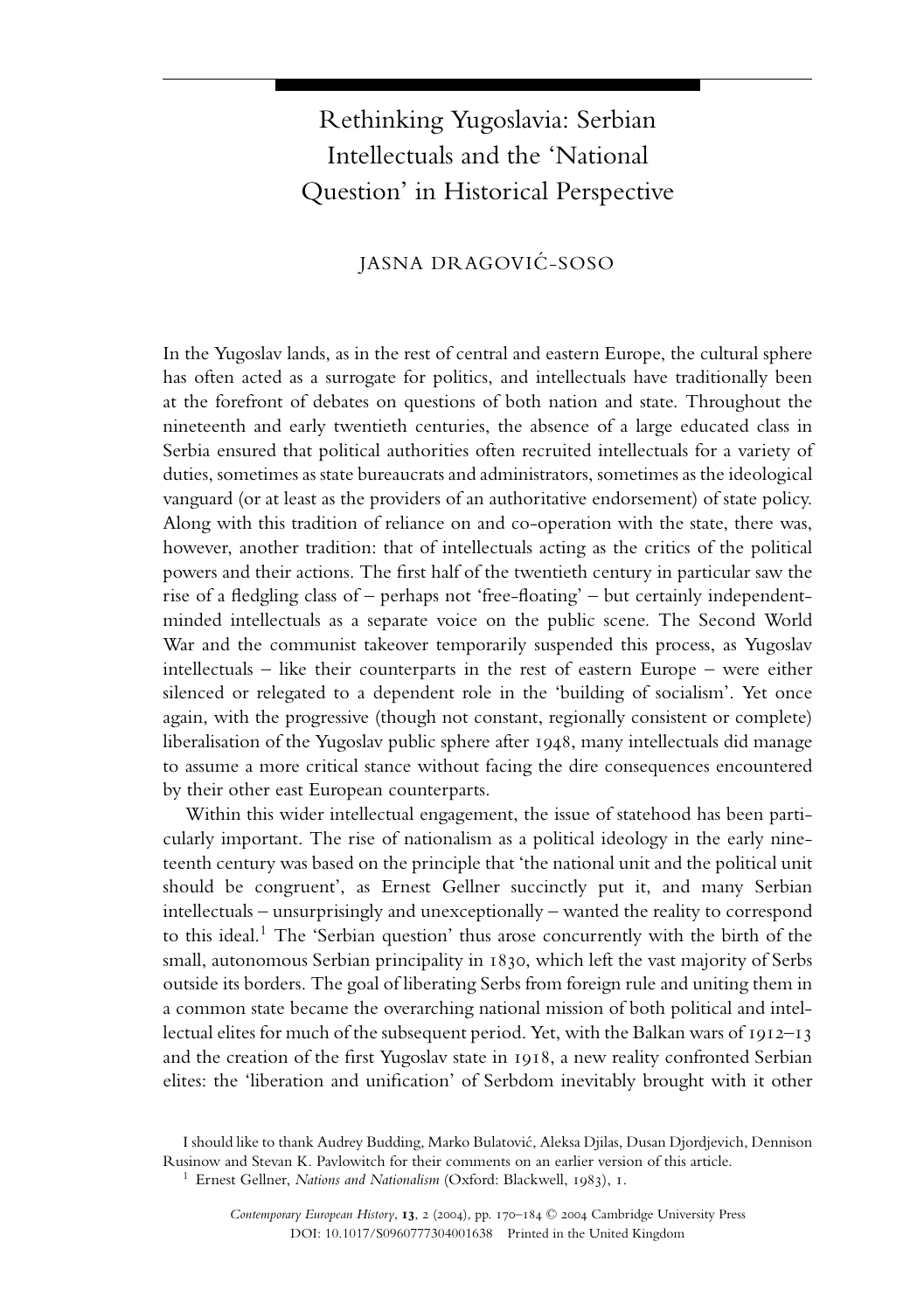# Rethinking Yugoslavia: Serbian Intellectuals and the 'National Question' in Historical Perspective

## JASNA DRAGOVIC-SOSO ´

In the Yugoslav lands, as in the rest of central and eastern Europe, the cultural sphere has often acted as a surrogate for politics, and intellectuals have traditionally been at the forefront of debates on questions of both nation and state. Throughout the nineteenth and early twentieth centuries, the absence of a large educated class in Serbia ensured that political authorities often recruited intellectuals for a variety of duties, sometimes as state bureaucrats and administrators, sometimes as the ideological vanguard (or at least as the providers of an authoritative endorsement) of state policy. Along with this tradition of reliance on and co-operation with the state, there was, however, another tradition: that of intellectuals acting as the critics of the political powers and their actions. The first half of the twentieth century in particular saw the rise of a fledgling class of – perhaps not 'free-floating' – but certainly independentminded intellectuals as a separate voice on the public scene. The Second World War and the communist takeover temporarily suspended this process, as Yugoslav intellectuals – like their counterparts in the rest of eastern Europe – were either silenced or relegated to a dependent role in the 'building of socialism'. Yet once again, with the progressive (though not constant, regionally consistent or complete) liberalisation of the Yugoslav public sphere after 1948, many intellectuals did manage to assume a more critical stance without facing the dire consequences encountered by their other east European counterparts.

Within this wider intellectual engagement, the issue of statehood has been particularly important. The rise of nationalism as a political ideology in the early nineteenth century was based on the principle that 'the national unit and the political unit should be congruent', as Ernest Gellner succinctly put it, and many Serbian intellectuals – unsurprisingly and unexceptionally – wanted the reality to correspond to this ideal.1 The 'Serbian question' thus arose concurrently with the birth of the small, autonomous Serbian principality in 1830, which left the vast majority of Serbs outside its borders. The goal of liberating Serbs from foreign rule and uniting them in a common state became the overarching national mission of both political and intellectual elites for much of the subsequent period. Yet, with the Balkan wars of 1912–13 and the creation of the first Yugoslav state in 1918, a new reality confronted Serbian elites: the 'liberation and unification' of Serbdom inevitably brought with it other

<sup>1</sup> Ernest Gellner, *Nations and Nationalism* (Oxford: Blackwell, 1983), 1.

I should like to thank Audrey Budding, Marko Bulatovic, Aleksa Djilas, Dusan Djordjevich, Dennison ´ Rusinow and Stevan K. Pavlowitch for their comments on an earlier version of this article.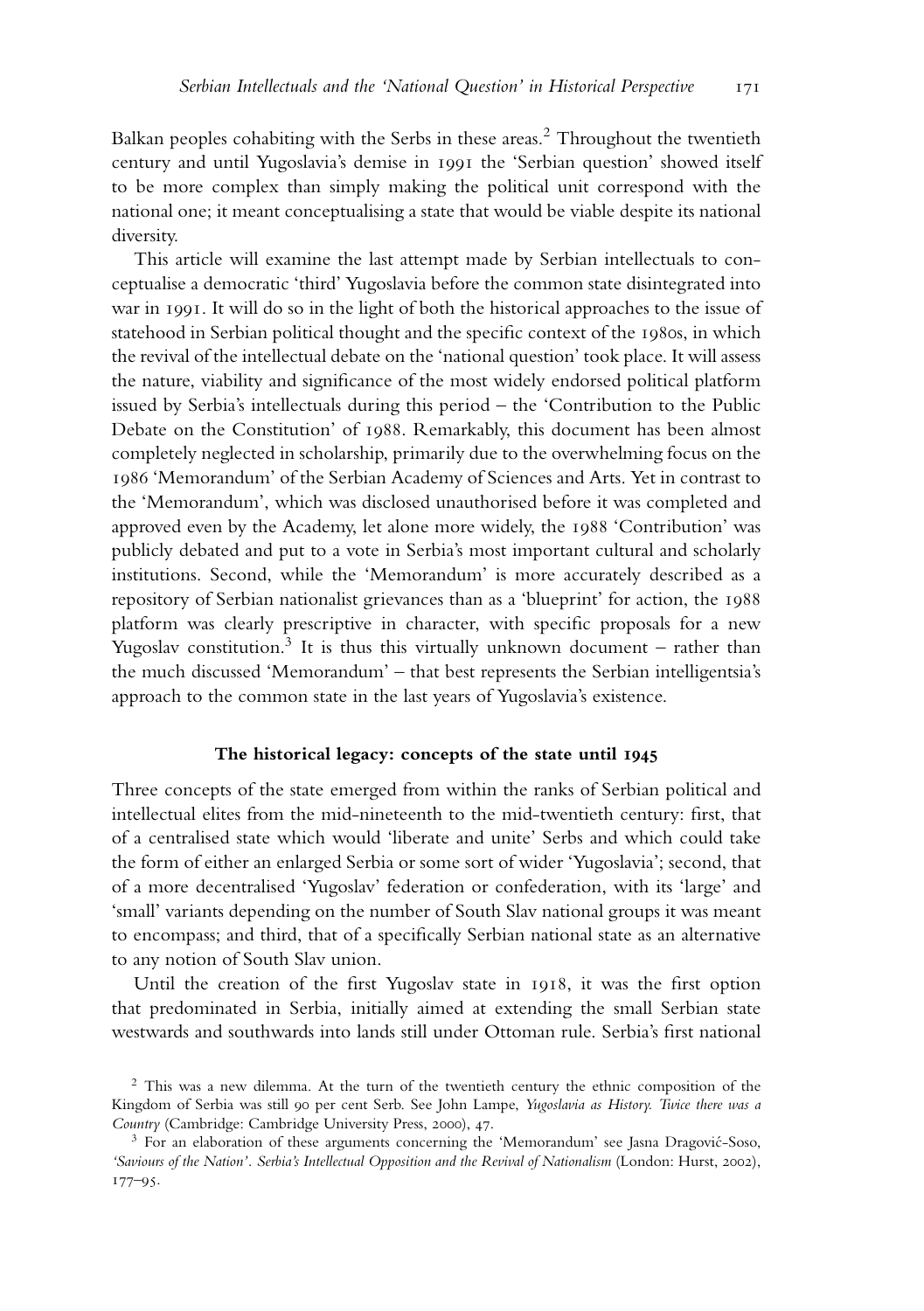Balkan peoples cohabiting with the Serbs in these areas.<sup>2</sup> Throughout the twentieth century and until Yugoslavia's demise in 1991 the 'Serbian question' showed itself to be more complex than simply making the political unit correspond with the national one; it meant conceptualising a state that would be viable despite its national diversity.

This article will examine the last attempt made by Serbian intellectuals to conceptualise a democratic 'third' Yugoslavia before the common state disintegrated into war in 1991. It will do so in the light of both the historical approaches to the issue of statehood in Serbian political thought and the specific context of the 1980s, in which the revival of the intellectual debate on the 'national question' took place. It will assess the nature, viability and significance of the most widely endorsed political platform issued by Serbia's intellectuals during this period – the 'Contribution to the Public Debate on the Constitution' of 1988. Remarkably, this document has been almost completely neglected in scholarship, primarily due to the overwhelming focus on the 1986 'Memorandum' of the Serbian Academy of Sciences and Arts. Yet in contrast to the 'Memorandum', which was disclosed unauthorised before it was completed and approved even by the Academy, let alone more widely, the 1988 'Contribution' was publicly debated and put to a vote in Serbia's most important cultural and scholarly institutions. Second, while the 'Memorandum' is more accurately described as a repository of Serbian nationalist grievances than as a 'blueprint' for action, the 1988 platform was clearly prescriptive in character, with specific proposals for a new Yugoslav constitution.<sup>3</sup> It is thus this virtually unknown document – rather than the much discussed 'Memorandum' – that best represents the Serbian intelligentsia's approach to the common state in the last years of Yugoslavia's existence.

#### **The historical legacy: concepts of the state until 1945**

Three concepts of the state emerged from within the ranks of Serbian political and intellectual elites from the mid-nineteenth to the mid-twentieth century: first, that of a centralised state which would 'liberate and unite' Serbs and which could take the form of either an enlarged Serbia or some sort of wider 'Yugoslavia'; second, that of a more decentralised 'Yugoslav' federation or confederation, with its 'large' and 'small' variants depending on the number of South Slav national groups it was meant to encompass; and third, that of a specifically Serbian national state as an alternative to any notion of South Slav union.

Until the creation of the first Yugoslav state in 1918, it was the first option that predominated in Serbia, initially aimed at extending the small Serbian state westwards and southwards into lands still under Ottoman rule. Serbia's first national

<sup>&</sup>lt;sup>2</sup> This was a new dilemma. At the turn of the twentieth century the ethnic composition of the Kingdom of Serbia was still 90 per cent Serb. See John Lampe, *Yugoslavia as History. Twice there was a Country* (Cambridge: Cambridge University Press, 2000), 47.

<sup>&</sup>lt;sup>3</sup> For an elaboration of these arguments concerning the 'Memorandum' see Jasna Dragović-Soso, *'Saviours of the Nation'. Serbia's Intellectual Opposition and the Revival of Nationalism* (London: Hurst, 2002), 177–95.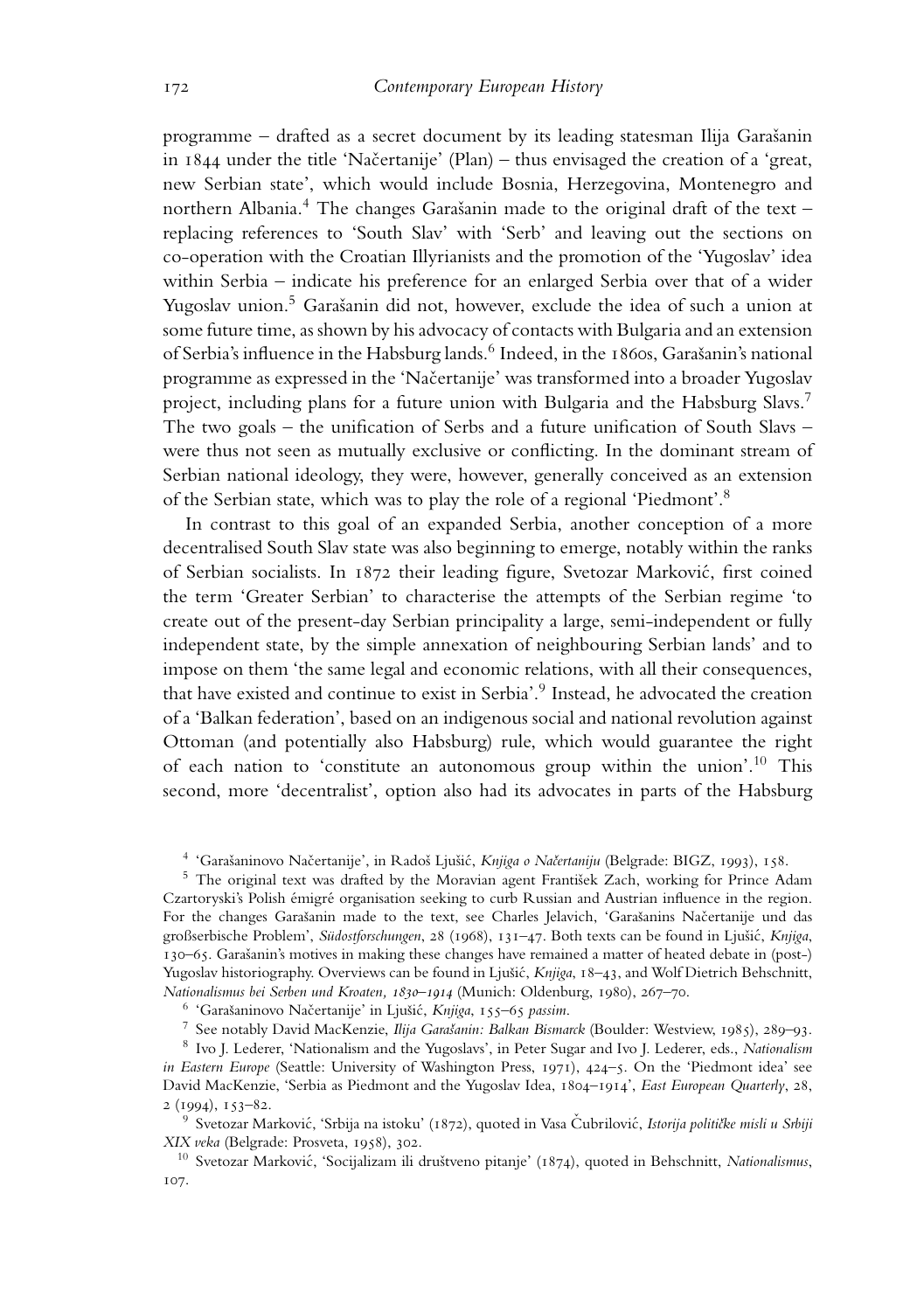programme – drafted as a secret document by its leading statesman Ilija Garaˇsanin in  $1844$  under the title 'Nacertanije' (Plan) – thus envisaged the creation of a 'great, new Serbian state', which would include Bosnia, Herzegovina, Montenegro and northern Albania.<sup>4</sup> The changes Garašanin made to the original draft of the text – replacing references to 'South Slav' with 'Serb' and leaving out the sections on co-operation with the Croatian Illyrianists and the promotion of the 'Yugoslav' idea within Serbia – indicate his preference for an enlarged Serbia over that of a wider Yugoslav union.<sup>5</sup> Garašanin did not, however, exclude the idea of such a union at some future time, as shown by his advocacy of contacts with Bulgaria and an extension of Serbia's influence in the Habsburg lands.<sup>6</sup> Indeed, in the 1860s, Garašanin's national programme as expressed in the 'Nacertanije' was transformed into a broader Yugoslav project, including plans for a future union with Bulgaria and the Habsburg Slavs.7 The two goals – the unification of Serbs and a future unification of South Slavs – were thus not seen as mutually exclusive or conflicting. In the dominant stream of Serbian national ideology, they were, however, generally conceived as an extension of the Serbian state, which was to play the role of a regional 'Piedmont'.8

In contrast to this goal of an expanded Serbia, another conception of a more decentralised South Slav state was also beginning to emerge, notably within the ranks of Serbian socialists. In 1872 their leading figure, Svetozar Markovic, first coined ´ the term 'Greater Serbian' to characterise the attempts of the Serbian regime 'to create out of the present-day Serbian principality a large, semi-independent or fully independent state, by the simple annexation of neighbouring Serbian lands' and to impose on them 'the same legal and economic relations, with all their consequences, that have existed and continue to exist in Serbia'.9 Instead, he advocated the creation of a 'Balkan federation', based on an indigenous social and national revolution against Ottoman (and potentially also Habsburg) rule, which would guarantee the right of each nation to 'constitute an autonomous group within the union'.10 This second, more 'decentralist', option also had its advocates in parts of the Habsburg

<sup>4</sup> 'Garašaninovo Načertanije', in Radoš Ljušić, *Knjiga o Načertaniju* (Belgrade: BIGZ, 1993), 158.

 $5$  The original text was drafted by the Moravian agent František Zach, working for Prince Adam Czartoryski's Polish émigré organisation seeking to curb Russian and Austrian influence in the region. For the changes Garašanin made to the text, see Charles Jelavich, 'Garašanins Načertanije und das großserbische Problem', *Südostforschungen*, 28 (1968), 131–47. Both texts can be found in Ljušić, *Knjiga*, 130–65. Garašanin's motives in making these changes have remained a matter of heated debate in (post-) Yugoslav historiography. Overviews can be found in Ljušić, *Knjiga*, 18–43, and Wolf Dietrich Behschnitt, *Nationalismus bei Serben und Kroaten, 1830–1914* (Munich: Oldenburg, 1980), 267–70.

<sup>6</sup> 'Garašaninovo Načertanije' in Ljušić, *Knjiga*, 155–65 passim.

<sup>7</sup> See notably David MacKenzie, *Ilija Garašanin: Balkan Bismarck* (Boulder: Westview, 1985), 289-93.

<sup>8</sup> Ivo J. Lederer, 'Nationalism and the Yugoslavs', in Peter Sugar and Ivo J. Lederer, eds., *Nationalism in Eastern Europe* (Seattle: University of Washington Press, 1971), 424–5. On the 'Piedmont idea' see David MacKenzie, 'Serbia as Piedmont and the Yugoslav Idea, 1804–1914', *East European Quarterly*, 28, 2 (1994), 153–82.

<sup>9</sup> Svetozar Marković, 'Srbija na istoku' (1872), quoted in Vasa Čubrilović, Istorija političke misli u Srbiji *XIX veka* (Belgrade: Prosveta, 1958), 302.

<sup>10</sup> Svetozar Marković, 'Socijalizam ili društveno pitanje' (1874), quoted in Behschnitt, *Nationalismus*, 107.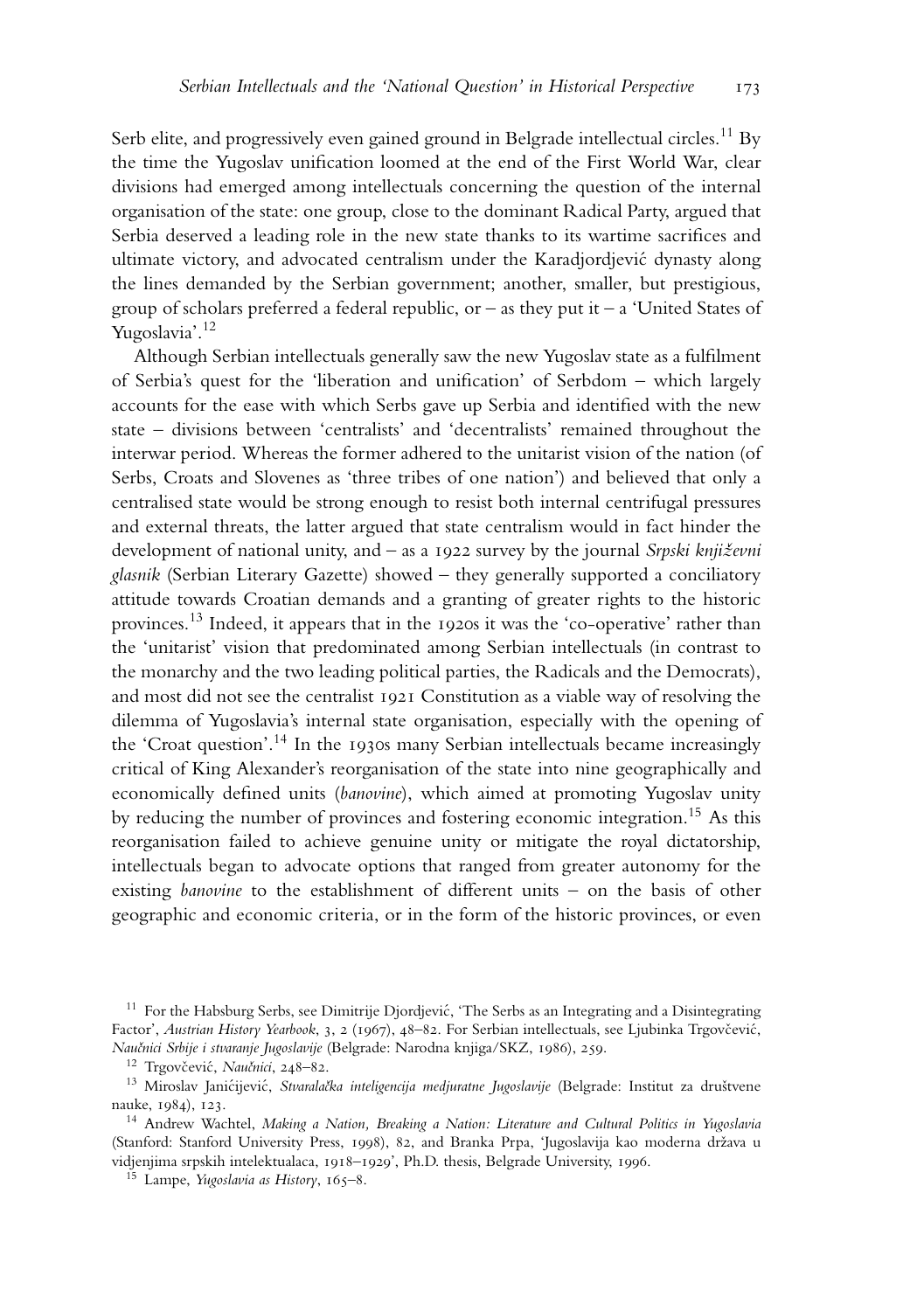Serb elite, and progressively even gained ground in Belgrade intellectual circles.<sup>11</sup> By the time the Yugoslav unification loomed at the end of the First World War, clear divisions had emerged among intellectuals concerning the question of the internal organisation of the state: one group, close to the dominant Radical Party, argued that Serbia deserved a leading role in the new state thanks to its wartime sacrifices and ultimate victory, and advocated centralism under the Karadjordjevic dynasty along ´ the lines demanded by the Serbian government; another, smaller, but prestigious, group of scholars preferred a federal republic, or  $-$  as they put it  $-$  a 'United States of Yugoslavia'.12

Although Serbian intellectuals generally saw the new Yugoslav state as a fulfilment of Serbia's quest for the 'liberation and unification' of Serbdom – which largely accounts for the ease with which Serbs gave up Serbia and identified with the new state – divisions between 'centralists' and 'decentralists' remained throughout the interwar period. Whereas the former adhered to the unitarist vision of the nation (of Serbs, Croats and Slovenes as 'three tribes of one nation') and believed that only a centralised state would be strong enough to resist both internal centrifugal pressures and external threats, the latter argued that state centralism would in fact hinder the development of national unity, and – as a 1922 survey by the journal *Srpski knjizevni ˇ glasnik* (Serbian Literary Gazette) showed – they generally supported a conciliatory attitude towards Croatian demands and a granting of greater rights to the historic provinces.<sup>13</sup> Indeed, it appears that in the 1920s it was the 'co-operative' rather than the 'unitarist' vision that predominated among Serbian intellectuals (in contrast to the monarchy and the two leading political parties, the Radicals and the Democrats), and most did not see the centralist 1921 Constitution as a viable way of resolving the dilemma of Yugoslavia's internal state organisation, especially with the opening of the 'Croat question'.<sup>14</sup> In the 1930s many Serbian intellectuals became increasingly critical of King Alexander's reorganisation of the state into nine geographically and economically defined units (*banovine*), which aimed at promoting Yugoslav unity by reducing the number of provinces and fostering economic integration.15 As this reorganisation failed to achieve genuine unity or mitigate the royal dictatorship, intellectuals began to advocate options that ranged from greater autonomy for the existing *banovine* to the establishment of different units – on the basis of other geographic and economic criteria, or in the form of the historic provinces, or even

<sup>&</sup>lt;sup>11</sup> For the Habsburg Serbs, see Dimitrije Djordjević, 'The Serbs as an Integrating and a Disintegrating Factor', *Austrian History Yearbook*, 3, 2 (1967), 48–82. For Serbian intellectuals, see Ljubinka Trgovčević, *Nauˇcnici Srbije i stvaranje Jugoslavije* (Belgrade: Narodna knjiga/SKZ, 1986), 259.

<sup>&</sup>lt;sup>12</sup> Trgovčević, Naučnici, 248–82.

<sup>&</sup>lt;sup>13</sup> Miroslav Janićijević, Stvaralačka inteligencija medjuratne Jugoslavije (Belgrade: Institut za društvene nauke, 1984), 123.

<sup>14</sup> Andrew Wachtel, *Making a Nation, Breaking a Nation: Literature and Cultural Politics in Yugoslavia* (Stanford: Stanford University Press, 1998), 82, and Branka Prpa, 'Jugoslavija kao moderna država u vidjenjima srpskih intelektualaca, 1918–1929', Ph.D. thesis, Belgrade University, 1996.

<sup>&</sup>lt;sup>15</sup> Lampe, *Yugoslavia as History*, 165-8.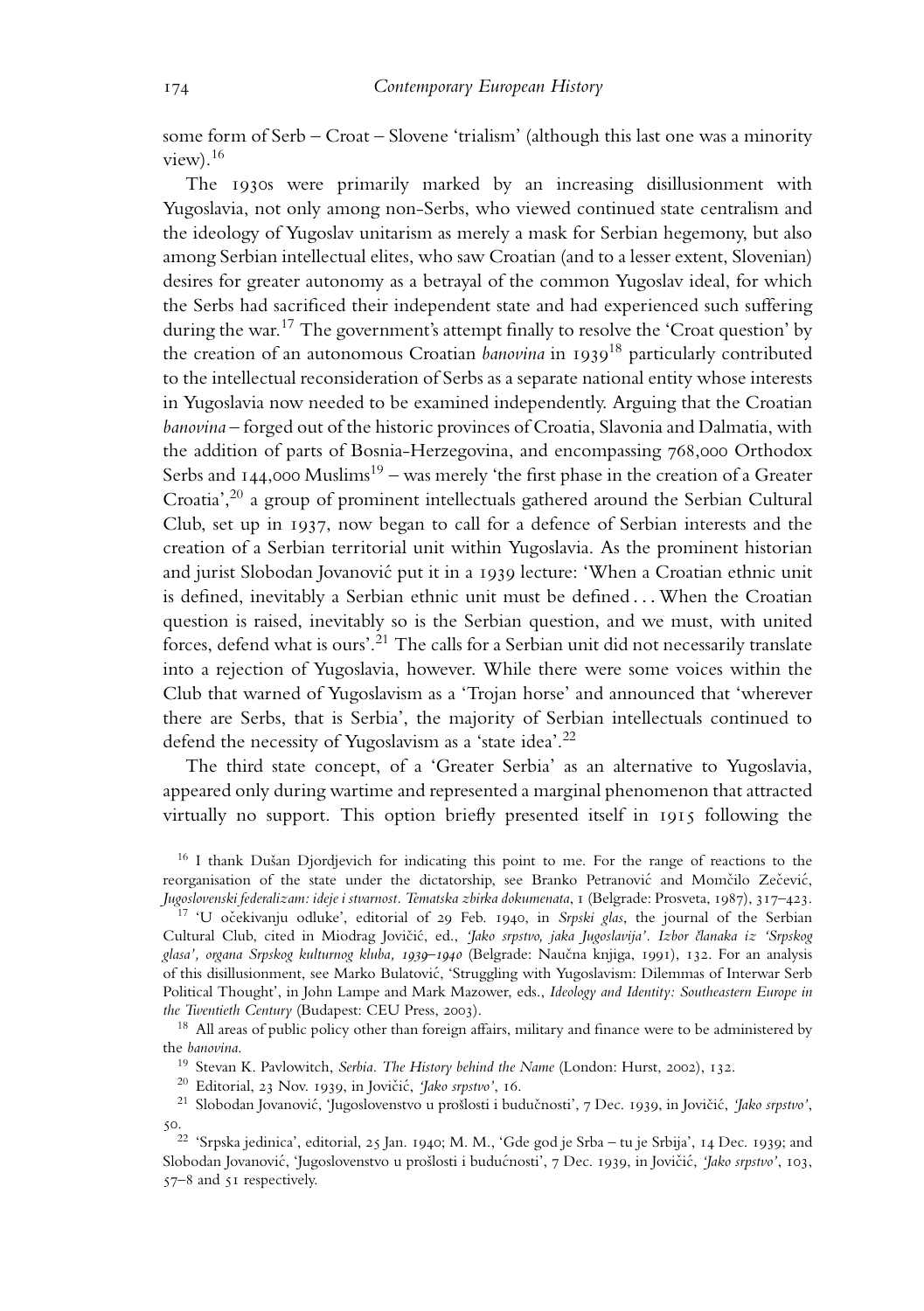some form of Serb – Croat – Slovene 'trialism' (although this last one was a minority view). $16$ 

The 1930s were primarily marked by an increasing disillusionment with Yugoslavia, not only among non-Serbs, who viewed continued state centralism and the ideology of Yugoslav unitarism as merely a mask for Serbian hegemony, but also among Serbian intellectual elites, who saw Croatian (and to a lesser extent, Slovenian) desires for greater autonomy as a betrayal of the common Yugoslav ideal, for which the Serbs had sacrificed their independent state and had experienced such suffering during the war.<sup>17</sup> The government's attempt finally to resolve the 'Croat question' by the creation of an autonomous Croatian *banovina* in 1939<sup>18</sup> particularly contributed to the intellectual reconsideration of Serbs as a separate national entity whose interests in Yugoslavia now needed to be examined independently. Arguing that the Croatian *banovina* – forged out of the historic provinces of Croatia, Slavonia and Dalmatia, with the addition of parts of Bosnia-Herzegovina, and encompassing 768,000 Orthodox Serbs and  $144,000$  Muslims<sup>19</sup> – was merely 'the first phase in the creation of a Greater Croatia',<sup>20</sup> a group of prominent intellectuals gathered around the Serbian Cultural Club, set up in 1937, now began to call for a defence of Serbian interests and the creation of a Serbian territorial unit within Yugoslavia. As the prominent historian and jurist Slobodan Jovanović put it in a 1939 lecture: 'When a Croatian ethnic unit is defined, inevitably a Serbian ethnic unit must be defined *...*When the Croatian question is raised, inevitably so is the Serbian question, and we must, with united forces, defend what is ours'.21 The calls for a Serbian unit did not necessarily translate into a rejection of Yugoslavia, however. While there were some voices within the Club that warned of Yugoslavism as a 'Trojan horse' and announced that 'wherever there are Serbs, that is Serbia', the majority of Serbian intellectuals continued to defend the necessity of Yugoslavism as a 'state idea'.<sup>22</sup>

The third state concept, of a 'Greater Serbia' as an alternative to Yugoslavia, appeared only during wartime and represented a marginal phenomenon that attracted virtually no support. This option briefly presented itself in 1915 following the

<sup>18</sup> All areas of public policy other than foreign affairs, military and finance were to be administered by the *banovina*.

<sup>19</sup> Stevan K. Pavlowitch, *Serbia. The History behind the Name* (London: Hurst, 2002), 132.

<sup>20</sup> Editorial, 23 Nov. 1939, in Jovičić, *'Jako srpstvo*', 16.

<sup>21</sup> Slobodan Jovanović, 'Jugoslovenstvo u prošlosti i budučnosti', 7 Dec. 1939, in Jovičić, 'Jako srpstvo', 50.

<sup>&</sup>lt;sup>16</sup> I thank Dušan Djordjevich for indicating this point to me. For the range of reactions to the reorganisation of the state under the dictatorship, see Branko Petranović and Momčilo Zečević, *Jugoslovenski federalizam: ideje i stvarnost. Tematska zbirka dokumenata*, 1 (Belgrade: Prosveta, 1987), 317–423.

<sup>&</sup>lt;sup>17</sup> 'U očekivanju odluke', editorial of 29 Feb. 1940, in Srpski glas, the journal of the Serbian Cultural Club, cited in Miodrag Jovičić, ed., 'Jako srpstvo, jaka Jugoslavija'. Izbor članaka iz 'Srpskog glasa', organa Srpskog kulturnog kluba, 1939-1940 (Belgrade: Naučna knjiga, 1991), 132. For an analysis of this disillusionment, see Marko Bulatovic, 'Struggling with Yugoslavism: Dilemmas of Interwar Serb ´ Political Thought', in John Lampe and Mark Mazower, eds., *Ideology and Identity: Southeastern Europe in the Twentieth Century* (Budapest: CEU Press, 2003).

 $^{22}$  'Srpska jedinica', editorial, 25 Jan. 1940; M. M., 'Gde god je Srba – tu je Srbija', 14 Dec. 1939; and Slobodan Jovanović, 'Jugoslovenstvo u prošlosti i budućnosti', 7 Dec. 1939, in Jovičić, *'Jako srpstvo'*, 103, 57–8 and 51 respectively.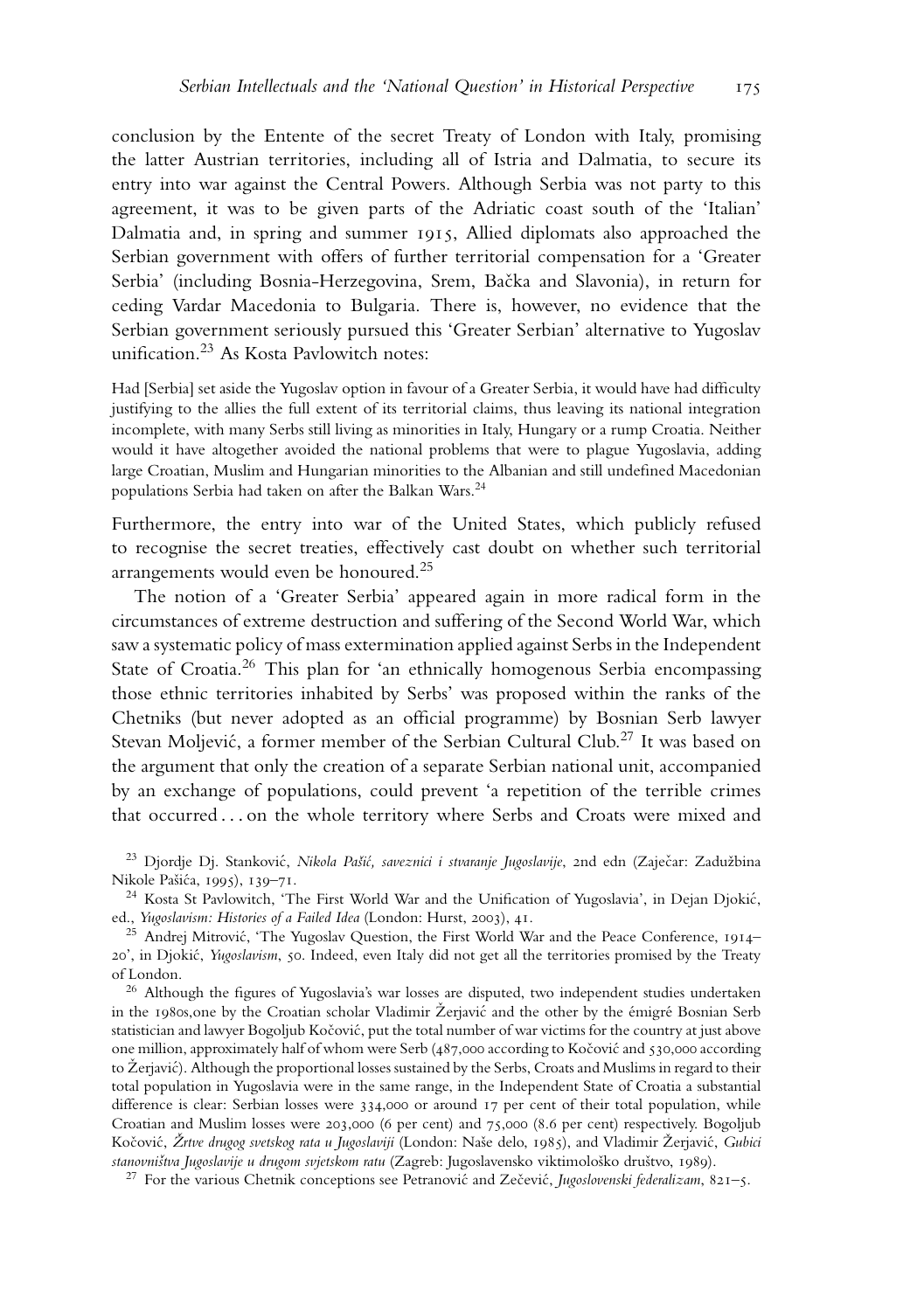conclusion by the Entente of the secret Treaty of London with Italy, promising the latter Austrian territories, including all of Istria and Dalmatia, to secure its entry into war against the Central Powers. Although Serbia was not party to this agreement, it was to be given parts of the Adriatic coast south of the 'Italian' Dalmatia and, in spring and summer 1915, Allied diplomats also approached the Serbian government with offers of further territorial compensation for a 'Greater Serbia' (including Bosnia-Herzegovina, Srem, Bačka and Slavonia), in return for ceding Vardar Macedonia to Bulgaria. There is, however, no evidence that the Serbian government seriously pursued this 'Greater Serbian' alternative to Yugoslav unification.23 As Kosta Pavlowitch notes:

Had [Serbia] set aside the Yugoslav option in favour of a Greater Serbia, it would have had difficulty justifying to the allies the full extent of its territorial claims, thus leaving its national integration incomplete, with many Serbs still living as minorities in Italy, Hungary or a rump Croatia. Neither would it have altogether avoided the national problems that were to plague Yugoslavia, adding large Croatian, Muslim and Hungarian minorities to the Albanian and still undefined Macedonian populations Serbia had taken on after the Balkan Wars.<sup>24</sup>

Furthermore, the entry into war of the United States, which publicly refused to recognise the secret treaties, effectively cast doubt on whether such territorial arrangements would even be honoured.<sup>25</sup>

The notion of a 'Greater Serbia' appeared again in more radical form in the circumstances of extreme destruction and suffering of the Second World War, which saw a systematic policy of mass extermination applied against Serbs in the Independent State of Croatia.<sup>26</sup> This plan for 'an ethnically homogenous Serbia encompassing those ethnic territories inhabited by Serbs' was proposed within the ranks of the Chetniks (but never adopted as an official programme) by Bosnian Serb lawyer Stevan Moljević, a former member of the Serbian Cultural Club.<sup>27</sup> It was based on the argument that only the creation of a separate Serbian national unit, accompanied by an exchange of populations, could prevent 'a repetition of the terrible crimes that occurred *...* on the whole territory where Serbs and Croats were mixed and

<sup>23</sup> Djordje Dj. Stanković, *Nikola Pašić, saveznici i stvaranje Jugoslavije*, 2nd edn (Zaječar: Zadužbina Nikole Pašića, 1995), 139–71.

<sup>24</sup> Kosta St Pavlowitch, 'The First World War and the Unification of Yugoslavia', in Dejan Djokić, ed., *Yugoslavism: Histories of a Failed Idea* (London: Hurst, 2003), 41.

<sup>25</sup> Andrej Mitrović, 'The Yugoslav Question, the First World War and the Peace Conference, 1914– 20', in Djokic,´ *Yugoslavism*, 50. Indeed, even Italy did not get all the territories promised by the Treaty of London.

<sup>26</sup> Although the figures of Yugoslavia's war losses are disputed, two independent studies undertaken in the 1980s,one by the Croatian scholar Vladimir Žerjavić and the other by the émigré Bosnian Serb statistician and lawyer Bogoljub Kočović, put the total number of war victims for the country at just above one million, approximately half of whom were Serb (487,000 according to Kocović and 530,000 according to Žerjavić). Although the proportional losses sustained by the Serbs, Croats and Muslims in regard to their total population in Yugoslavia were in the same range, in the Independent State of Croatia a substantial difference is clear: Serbian losses were 334,000 or around 17 per cent of their total population, while Croatian and Muslim losses were 203,000 (6 per cent) and 75,000 (8.6 per cent) respectively. Bogoljub Kočović, Žrtve drugog svetskog rata u Jugoslaviji (London: Naše delo, 1985), and Vladimir Žerjavić, Gubici stanovništva Jugoslavije u drugom svjetskom ratu (Zagreb: Jugoslavensko viktimološko društvo, 1989).

<sup>27</sup> For the various Chetnik conceptions see Petranović and Zečević, Jugoslovenski federalizam, 821–5.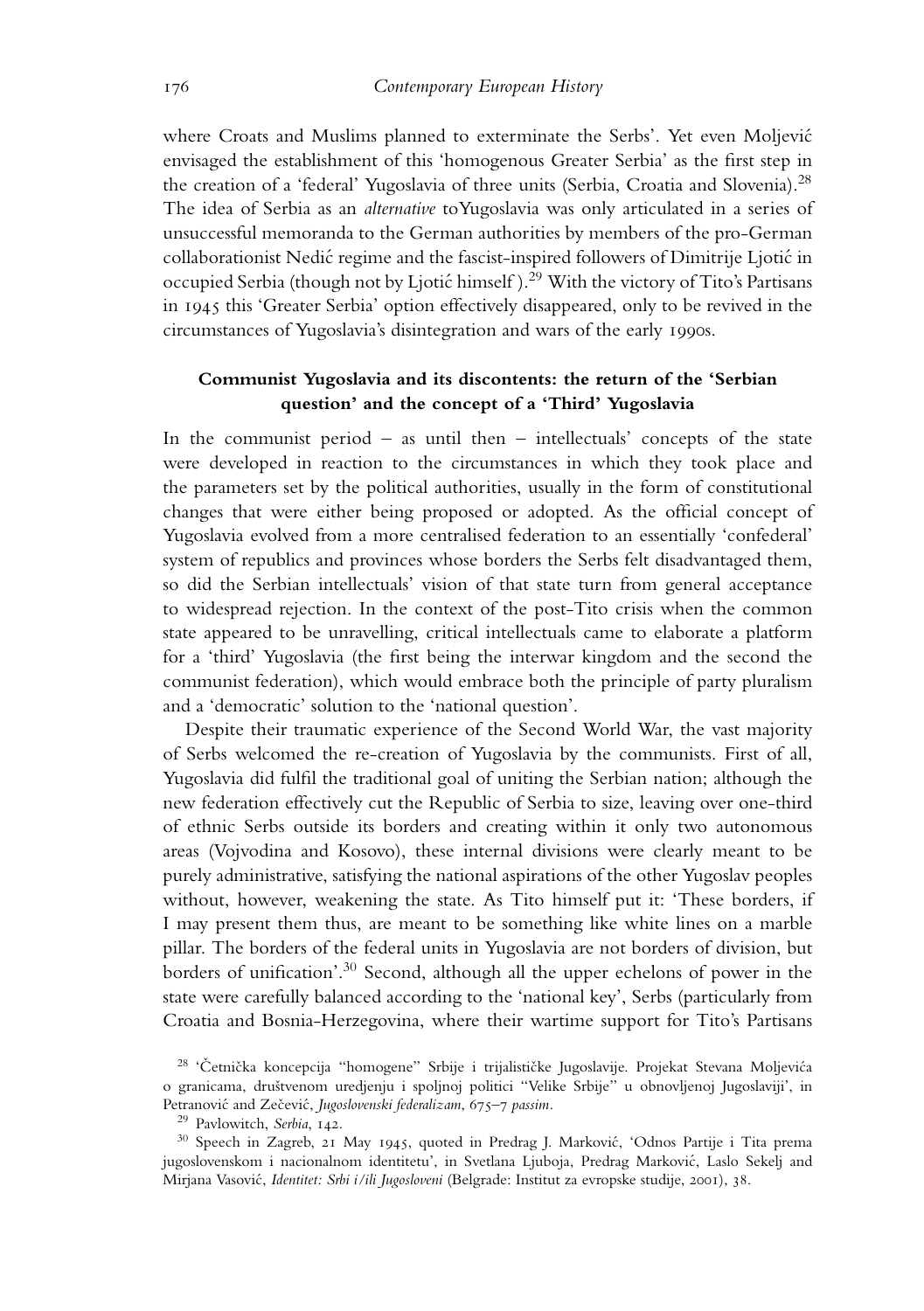where Croats and Muslims planned to exterminate the Serbs'. Yet even Molievic envisaged the establishment of this 'homogenous Greater Serbia' as the first step in the creation of a 'federal' Yugoslavia of three units (Serbia, Croatia and Slovenia).<sup>28</sup> The idea of Serbia as an *alternative* toYugoslavia was only articulated in a series of unsuccessful memoranda to the German authorities by members of the pro-German collaborationist Nedić regime and the fascist-inspired followers of Dimitrije Ljotić in occupied Serbia (though not by Ljotić himself).<sup>29</sup> With the victory of Tito's Partisans in 1945 this 'Greater Serbia' option effectively disappeared, only to be revived in the circumstances of Yugoslavia's disintegration and wars of the early 1990s.

### **Communist Yugoslavia and its discontents: the return of the 'Serbian question' and the concept of a 'Third' Yugoslavia**

In the communist period – as until then – intellectuals' concepts of the state were developed in reaction to the circumstances in which they took place and the parameters set by the political authorities, usually in the form of constitutional changes that were either being proposed or adopted. As the official concept of Yugoslavia evolved from a more centralised federation to an essentially 'confederal' system of republics and provinces whose borders the Serbs felt disadvantaged them, so did the Serbian intellectuals' vision of that state turn from general acceptance to widespread rejection. In the context of the post-Tito crisis when the common state appeared to be unravelling, critical intellectuals came to elaborate a platform for a 'third' Yugoslavia (the first being the interwar kingdom and the second the communist federation), which would embrace both the principle of party pluralism and a 'democratic' solution to the 'national question'.

Despite their traumatic experience of the Second World War, the vast majority of Serbs welcomed the re-creation of Yugoslavia by the communists. First of all, Yugoslavia did fulfil the traditional goal of uniting the Serbian nation; although the new federation effectively cut the Republic of Serbia to size, leaving over one-third of ethnic Serbs outside its borders and creating within it only two autonomous areas (Vojvodina and Kosovo), these internal divisions were clearly meant to be purely administrative, satisfying the national aspirations of the other Yugoslav peoples without, however, weakening the state. As Tito himself put it: 'These borders, if I may present them thus, are meant to be something like white lines on a marble pillar. The borders of the federal units in Yugoslavia are not borders of division, but borders of unification'.<sup>30</sup> Second, although all the upper echelons of power in the state were carefully balanced according to the 'national key', Serbs (particularly from Croatia and Bosnia-Herzegovina, where their wartime support for Tito's Partisans

<sup>&</sup>lt;sup>28</sup> 'Četnička koncepcija "homogene" Srbije i trijalističke Jugoslavije. Projekat Stevana Moljevića o granicama, druˇstvenom uredjenju i spoljnoj politici "Velike Srbije" u obnovljenoj Jugoslaviji', in Petranović and Zečević, Jugoslovenski federalizam, 675–7 passim.

<sup>29</sup> Pavlowitch, *Serbia*, 142.

<sup>30</sup> Speech in Zagreb, 21 May 1945, quoted in Predrag J. Markovic, 'Odnos Partije i Tita prema ´ jugoslovenskom i nacionalnom identitetu', in Svetlana Ljuboja, Predrag Markovic, Laslo Sekelj and ´ Mirjana Vasovic,´ *Identitet: Srbi i/ili Jugosloveni* (Belgrade: Institut za evropske studije, 2001), 38.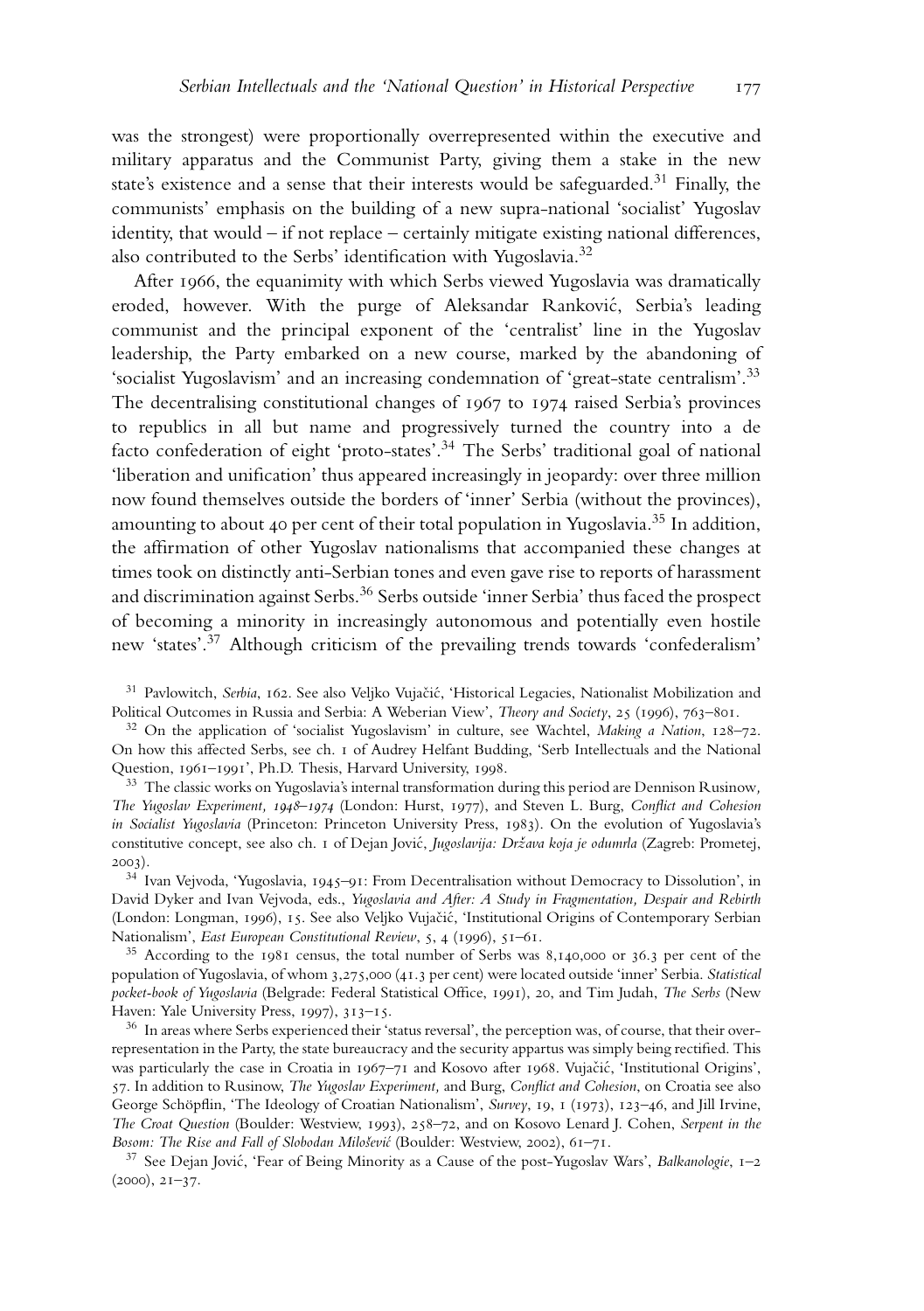was the strongest) were proportionally overrepresented within the executive and military apparatus and the Communist Party, giving them a stake in the new state's existence and a sense that their interests would be safeguarded.<sup>31</sup> Finally, the communists' emphasis on the building of a new supra-national 'socialist' Yugoslav identity, that would – if not replace – certainly mitigate existing national differences, also contributed to the Serbs' identification with Yugoslavia.32

After 1966, the equanimity with which Serbs viewed Yugoslavia was dramatically eroded, however. With the purge of Aleksandar Rankovic, Serbia's leading ´ communist and the principal exponent of the 'centralist' line in the Yugoslav leadership, the Party embarked on a new course, marked by the abandoning of 'socialist Yugoslavism' and an increasing condemnation of 'great-state centralism'.33 The decentralising constitutional changes of 1967 to 1974 raised Serbia's provinces to republics in all but name and progressively turned the country into a de facto confederation of eight 'proto-states'.<sup>34</sup> The Serbs' traditional goal of national 'liberation and unification' thus appeared increasingly in jeopardy: over three million now found themselves outside the borders of 'inner' Serbia (without the provinces), amounting to about 40 per cent of their total population in Yugoslavia.<sup>35</sup> In addition, the affirmation of other Yugoslav nationalisms that accompanied these changes at times took on distinctly anti-Serbian tones and even gave rise to reports of harassment and discrimination against Serbs.<sup>36</sup> Serbs outside 'inner Serbia' thus faced the prospect of becoming a minority in increasingly autonomous and potentially even hostile new 'states'.37 Although criticism of the prevailing trends towards 'confederalism'

<sup>31</sup> Pavlowitch, *Serbia*, 162. See also Veljko Vujačić, 'Historical Legacies, Nationalist Mobilization and Political Outcomes in Russia and Serbia: A Weberian View', *Theory and Society*, 25 (1996), 763–801.

<sup>32</sup> On the application of 'socialist Yugoslavism' in culture, see Wachtel, *Making a Nation*, 128–72. On how this affected Serbs, see ch. 1 of Audrey Helfant Budding, 'Serb Intellectuals and the National Question, 1961–1991', Ph.D. Thesis, Harvard University, 1998.

<sup>33</sup> The classic works on Yugoslavia's internal transformation during this period are Dennison Rusinow*, The Yugoslav Experiment, 1948–1974* (London: Hurst, 1977), and Steven L. Burg, *Conflict and Cohesion in Socialist Yugoslavia* (Princeton: Princeton University Press, 1983). On the evolution of Yugoslavia's constitutive concept, see also ch. 1 of Dejan Jović, *Jugoslavija: Država koja je odumrla* (Zagreb: Prometej, 2003).

<sup>34</sup> Ivan Vejvoda, 'Yugoslavia, 1945–91: From Decentralisation without Democracy to Dissolution', in David Dyker and Ivan Vejvoda, eds., *Yugoslavia and After: A Study in Fragmentation, Despair and Rebirth* (London: Longman, 1996), 15. See also Veljko Vujačić, 'Institutional Origins of Contemporary Serbian Nationalism', *East European Constitutional Review*, 5, 4 (1996), 51–61.

<sup>35</sup> According to the 1981 census, the total number of Serbs was 8,140,000 or 36.3 per cent of the population of Yugoslavia, of whom 3,275,000 (41.3 per cent) were located outside 'inner' Serbia. *Statistical pocket-book of Yugoslavia* (Belgrade: Federal Statistical Office, 1991), 20, and Tim Judah, *The Serbs* (New Haven: Yale University Press, 1997), 313-15.

<sup>36</sup> In areas where Serbs experienced their 'status reversal', the perception was, of course, that their overrepresentation in the Party, the state bureaucracy and the security appartus was simply being rectified. This was particularly the case in Croatia in 1967–71 and Kosovo after 1968. Vujačić, 'Institutional Origins', 57. In addition to Rusinow, *The Yugoslav Experiment,* and Burg, *Conflict and Cohesion*, on Croatia see also George Schöpflin, 'The Ideology of Croatian Nationalism', Survey, 19, 1 (1973), 123–46, and Jill Irvine, *The Croat Question* (Boulder: Westview, 1993), 258–72, and on Kosovo Lenard J. Cohen, *Serpent in the* Bosom: The Rise and Fall of Slobodan Milošević (Boulder: Westview, 2002), 61-71.

<sup>37</sup> See Dejan Jović, 'Fear of Being Minority as a Cause of the post-Yugoslav Wars', *Balkanologie*, 1–2 (2000), 21–37.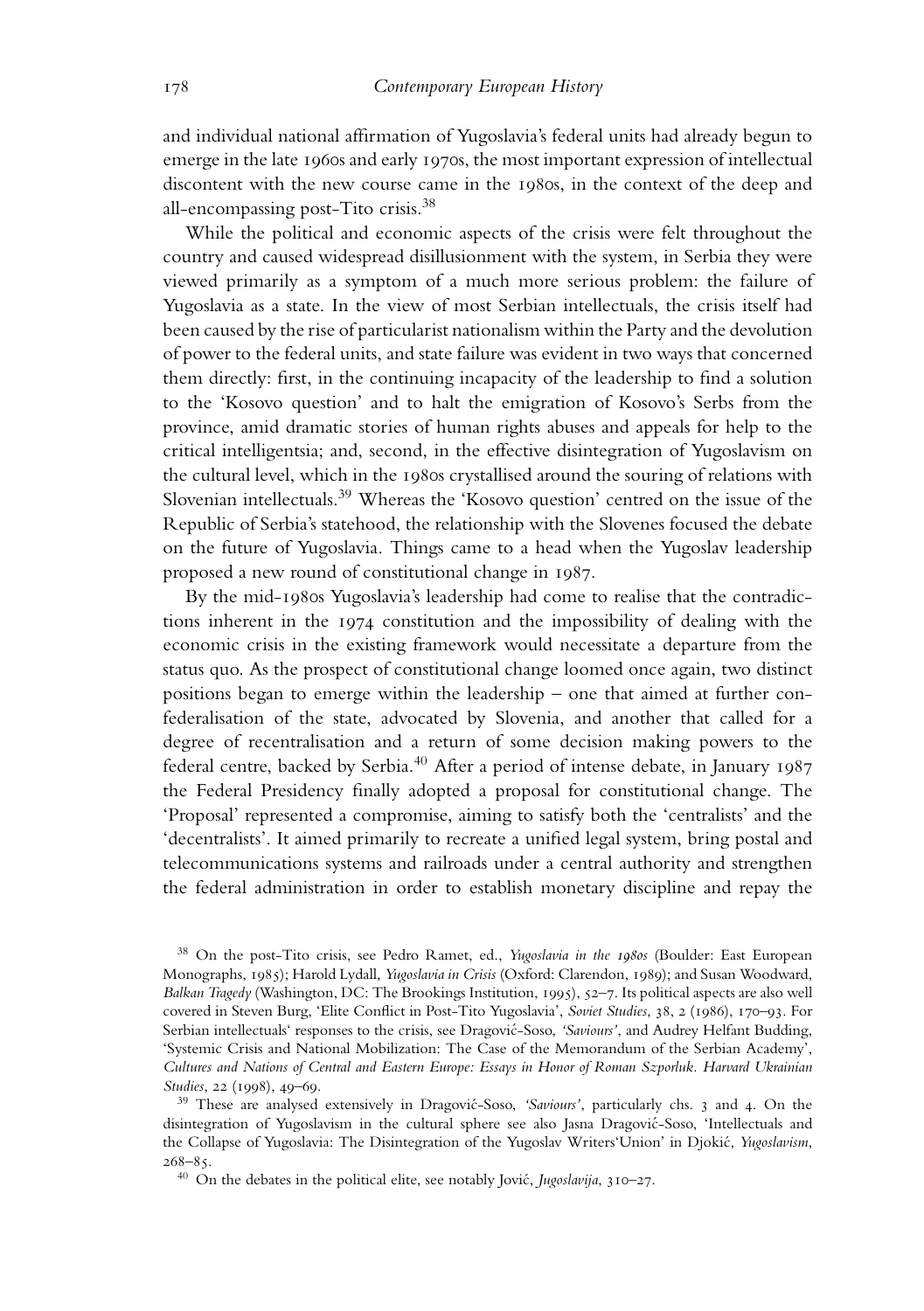and individual national affirmation of Yugoslavia's federal units had already begun to emerge in the late 1960s and early 1970s, the most important expression of intellectual discontent with the new course came in the 1980s, in the context of the deep and all-encompassing post-Tito crisis.38

While the political and economic aspects of the crisis were felt throughout the country and caused widespread disillusionment with the system, in Serbia they were viewed primarily as a symptom of a much more serious problem: the failure of Yugoslavia as a state. In the view of most Serbian intellectuals, the crisis itself had been caused by the rise of particularist nationalism within the Party and the devolution of power to the federal units, and state failure was evident in two ways that concerned them directly: first, in the continuing incapacity of the leadership to find a solution to the 'Kosovo question' and to halt the emigration of Kosovo's Serbs from the province, amid dramatic stories of human rights abuses and appeals for help to the critical intelligentsia; and, second, in the effective disintegration of Yugoslavism on the cultural level, which in the 1980s crystallised around the souring of relations with Slovenian intellectuals.39 Whereas the 'Kosovo question' centred on the issue of the Republic of Serbia's statehood, the relationship with the Slovenes focused the debate on the future of Yugoslavia. Things came to a head when the Yugoslav leadership proposed a new round of constitutional change in 1987.

By the mid-1980s Yugoslavia's leadership had come to realise that the contradictions inherent in the 1974 constitution and the impossibility of dealing with the economic crisis in the existing framework would necessitate a departure from the status quo. As the prospect of constitutional change loomed once again, two distinct positions began to emerge within the leadership – one that aimed at further confederalisation of the state, advocated by Slovenia, and another that called for a degree of recentralisation and a return of some decision making powers to the federal centre, backed by Serbia.40 After a period of intense debate, in January 1987 the Federal Presidency finally adopted a proposal for constitutional change. The 'Proposal' represented a compromise, aiming to satisfy both the 'centralists' and the 'decentralists'. It aimed primarily to recreate a unified legal system, bring postal and telecommunications systems and railroads under a central authority and strengthen the federal administration in order to establish monetary discipline and repay the

<sup>38</sup> On the post-Tito crisis, see Pedro Ramet, ed., *Yugoslavia in the 1980s* (Boulder: East European Monographs, 1985); Harold Lydall, *Yugoslavia in Crisis* (Oxford: Clarendon, 1989); and Susan Woodward, *Balkan Tragedy* (Washington, DC: The Brookings Institution, 1995), 52–7. Its political aspects are also well covered in Steven Burg, 'Elite Conflict in Post-Tito Yugoslavia', *Soviet Studies*, 38, 2 (1986), 170–93. For Serbian intellectuals' responses to the crisis, see Dragović-Soso, 'Saviours', and Audrey Helfant Budding, 'Systemic Crisis and National Mobilization: The Case of the Memorandum of the Serbian Academy', *Cultures and Nations of Central and Eastern Europe: Essays in Honor of Roman Szporluk. Harvard Ukrainian Studies*, 22 (1998), 49–69.

<sup>&</sup>lt;sup>39</sup> These are analysed extensively in Dragović-Soso, 'Saviours', particularly chs. 3 and 4. On the disintegration of Yugoslavism in the cultural sphere see also Jasna Dragovic-Soso, 'Intellectuals and ´ the Collapse of Yugoslavia: The Disintegration of the Yugoslav Writers'Union' in Djokic,´ *Yugoslavism*,  $268 - 85.$ 

<sup>&</sup>lt;sup>40</sup> On the debates in the political elite, see notably Jović, *Jugoslavija*, 310–27.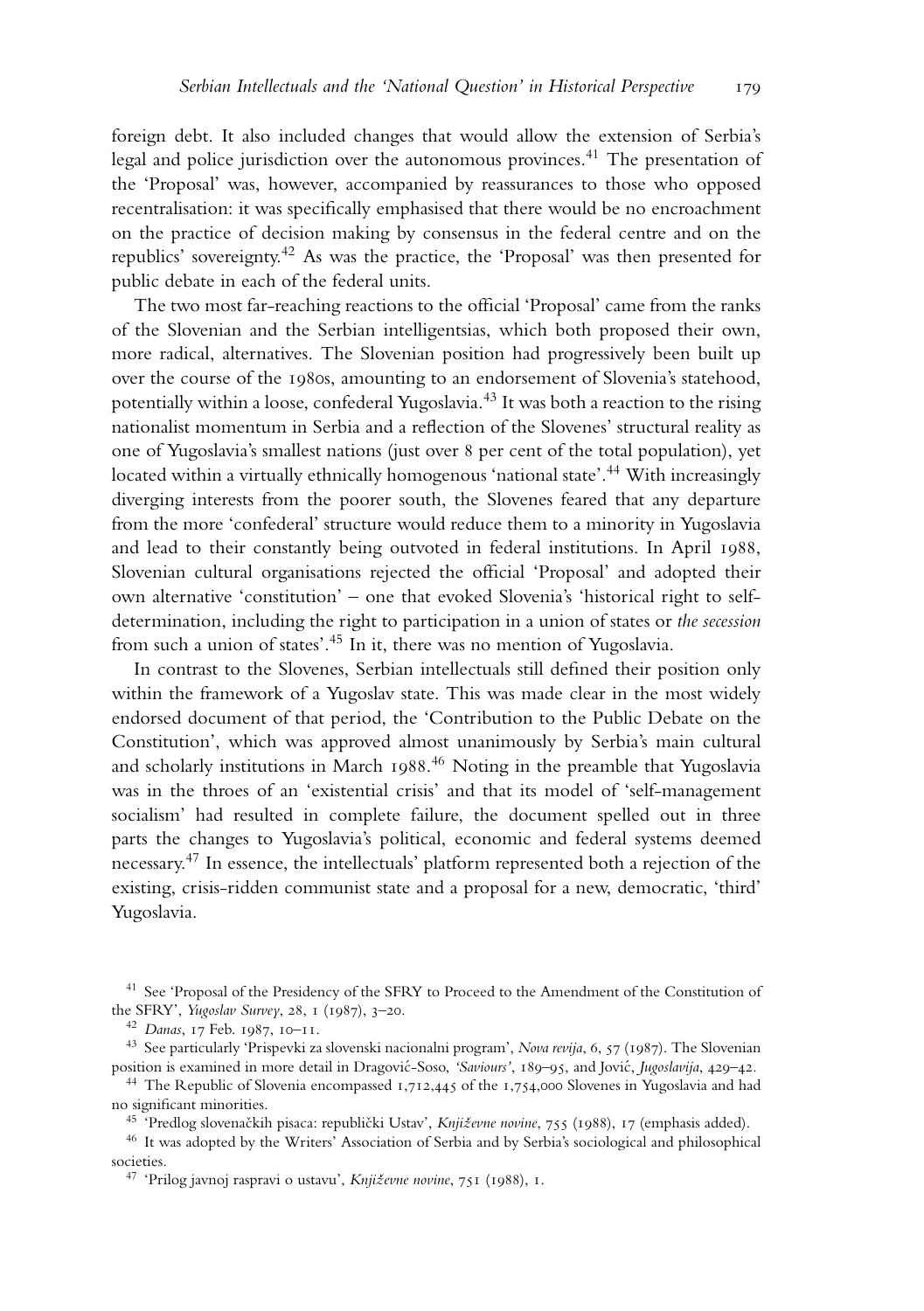foreign debt. It also included changes that would allow the extension of Serbia's legal and police jurisdiction over the autonomous provinces.<sup>41</sup> The presentation of the 'Proposal' was, however, accompanied by reassurances to those who opposed recentralisation: it was specifically emphasised that there would be no encroachment on the practice of decision making by consensus in the federal centre and on the republics' sovereignty.42 As was the practice, the 'Proposal' was then presented for public debate in each of the federal units.

The two most far-reaching reactions to the official 'Proposal' came from the ranks of the Slovenian and the Serbian intelligentsias, which both proposed their own, more radical, alternatives. The Slovenian position had progressively been built up over the course of the 1980s, amounting to an endorsement of Slovenia's statehood, potentially within a loose, confederal Yugoslavia.43 It was both a reaction to the rising nationalist momentum in Serbia and a reflection of the Slovenes' structural reality as one of Yugoslavia's smallest nations (just over 8 per cent of the total population), yet located within a virtually ethnically homogenous 'national state'.<sup>44</sup> With increasingly diverging interests from the poorer south, the Slovenes feared that any departure from the more 'confederal' structure would reduce them to a minority in Yugoslavia and lead to their constantly being outvoted in federal institutions. In April 1988, Slovenian cultural organisations rejected the official 'Proposal' and adopted their own alternative 'constitution' – one that evoked Slovenia's 'historical right to selfdetermination, including the right to participation in a union of states or *the secession* from such a union of states'.45 In it, there was no mention of Yugoslavia.

In contrast to the Slovenes, Serbian intellectuals still defined their position only within the framework of a Yugoslav state. This was made clear in the most widely endorsed document of that period, the 'Contribution to the Public Debate on the Constitution', which was approved almost unanimously by Serbia's main cultural and scholarly institutions in March 1988. <sup>46</sup> Noting in the preamble that Yugoslavia was in the throes of an 'existential crisis' and that its model of 'self-management socialism' had resulted in complete failure, the document spelled out in three parts the changes to Yugoslavia's political, economic and federal systems deemed necessary.47 In essence, the intellectuals' platform represented both a rejection of the existing, crisis-ridden communist state and a proposal for a new, democratic, 'third' Yugoslavia.

<sup>45</sup> 'Predlog slovenačkih pisaca: republički Ustav', Književne novine, 755 (1988), 17 (emphasis added).

<sup>46</sup> It was adopted by the Writers' Association of Serbia and by Serbia's sociological and philosophical societies.

<sup>47</sup> 'Prilog javnoj raspravi o ustavu', *Književne novine*, 751 (1988), 1.

<sup>&</sup>lt;sup>41</sup> See 'Proposal of the Presidency of the SFRY to Proceed to the Amendment of the Constitution of the SFRY', *Yugoslav Survey*, 28, 1 (1987), 3–20.

<sup>42</sup> *Danas*, 17 Feb. 1987, 10–11.

<sup>43</sup> See particularly 'Prispevki za slovenski nacionalni program', *Nova revija*, 6, 57 (1987). The Slovenian position is examined in more detail in Dragović-Soso, 'Saviours', 189-95, and Jović, *Jugoslavija*, 429-42.

<sup>44</sup> The Republic of Slovenia encompassed 1,712,445 of the 1,754,000 Slovenes in Yugoslavia and had no significant minorities.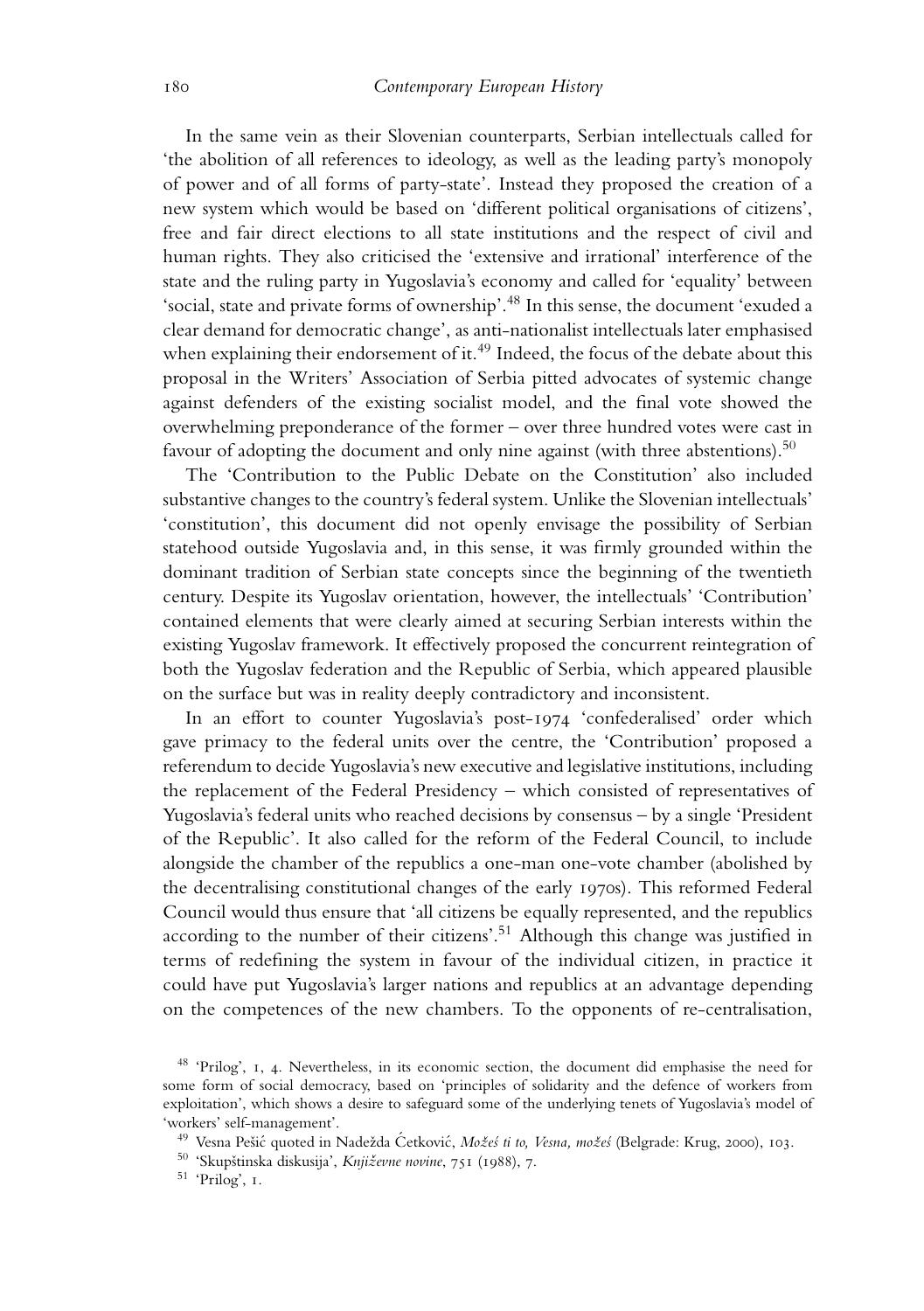In the same vein as their Slovenian counterparts, Serbian intellectuals called for 'the abolition of all references to ideology, as well as the leading party's monopoly of power and of all forms of party-state'. Instead they proposed the creation of a new system which would be based on 'different political organisations of citizens', free and fair direct elections to all state institutions and the respect of civil and human rights. They also criticised the 'extensive and irrational' interference of the state and the ruling party in Yugoslavia's economy and called for 'equality' between 'social, state and private forms of ownership'.<sup>48</sup> In this sense, the document 'exuded a clear demand for democratic change', as anti-nationalist intellectuals later emphasised when explaining their endorsement of it.<sup>49</sup> Indeed, the focus of the debate about this proposal in the Writers' Association of Serbia pitted advocates of systemic change against defenders of the existing socialist model, and the final vote showed the overwhelming preponderance of the former – over three hundred votes were cast in favour of adopting the document and only nine against (with three abstentions).<sup>50</sup>

The 'Contribution to the Public Debate on the Constitution' also included substantive changes to the country's federal system. Unlike the Slovenian intellectuals' 'constitution', this document did not openly envisage the possibility of Serbian statehood outside Yugoslavia and, in this sense, it was firmly grounded within the dominant tradition of Serbian state concepts since the beginning of the twentieth century. Despite its Yugoslav orientation, however, the intellectuals' 'Contribution' contained elements that were clearly aimed at securing Serbian interests within the existing Yugoslav framework. It effectively proposed the concurrent reintegration of both the Yugoslav federation and the Republic of Serbia, which appeared plausible on the surface but was in reality deeply contradictory and inconsistent.

In an effort to counter Yugoslavia's post-1974 'confederalised' order which gave primacy to the federal units over the centre, the 'Contribution' proposed a referendum to decide Yugoslavia's new executive and legislative institutions, including the replacement of the Federal Presidency – which consisted of representatives of Yugoslavia's federal units who reached decisions by consensus – by a single 'President of the Republic'. It also called for the reform of the Federal Council, to include alongside the chamber of the republics a one-man one-vote chamber (abolished by the decentralising constitutional changes of the early 1970s). This reformed Federal Council would thus ensure that 'all citizens be equally represented, and the republics according to the number of their citizens'.<sup>51</sup> Although this change was justified in terms of redefining the system in favour of the individual citizen, in practice it could have put Yugoslavia's larger nations and republics at an advantage depending on the competences of the new chambers. To the opponents of re-centralisation,

<sup>48</sup> 'Prilog', 1, 4. Nevertheless, in its economic section, the document did emphasise the need for some form of social democracy, based on 'principles of solidarity and the defence of workers from exploitation', which shows a desire to safeguard some of the underlying tenets of Yugoslavia's model of 'workers' self-management'.

<sup>&</sup>lt;sup>49</sup> Vesna Pešić quoted in Nadežda Ćetković, Možeś ti to, Vesna, možeś (Belgrade: Krug, 2000), 103.

<sup>&</sup>lt;sup>50</sup> 'Skupštinska diskusija', *Književne novine*, 751 (1988), 7.

<sup>51</sup> 'Prilog', 1.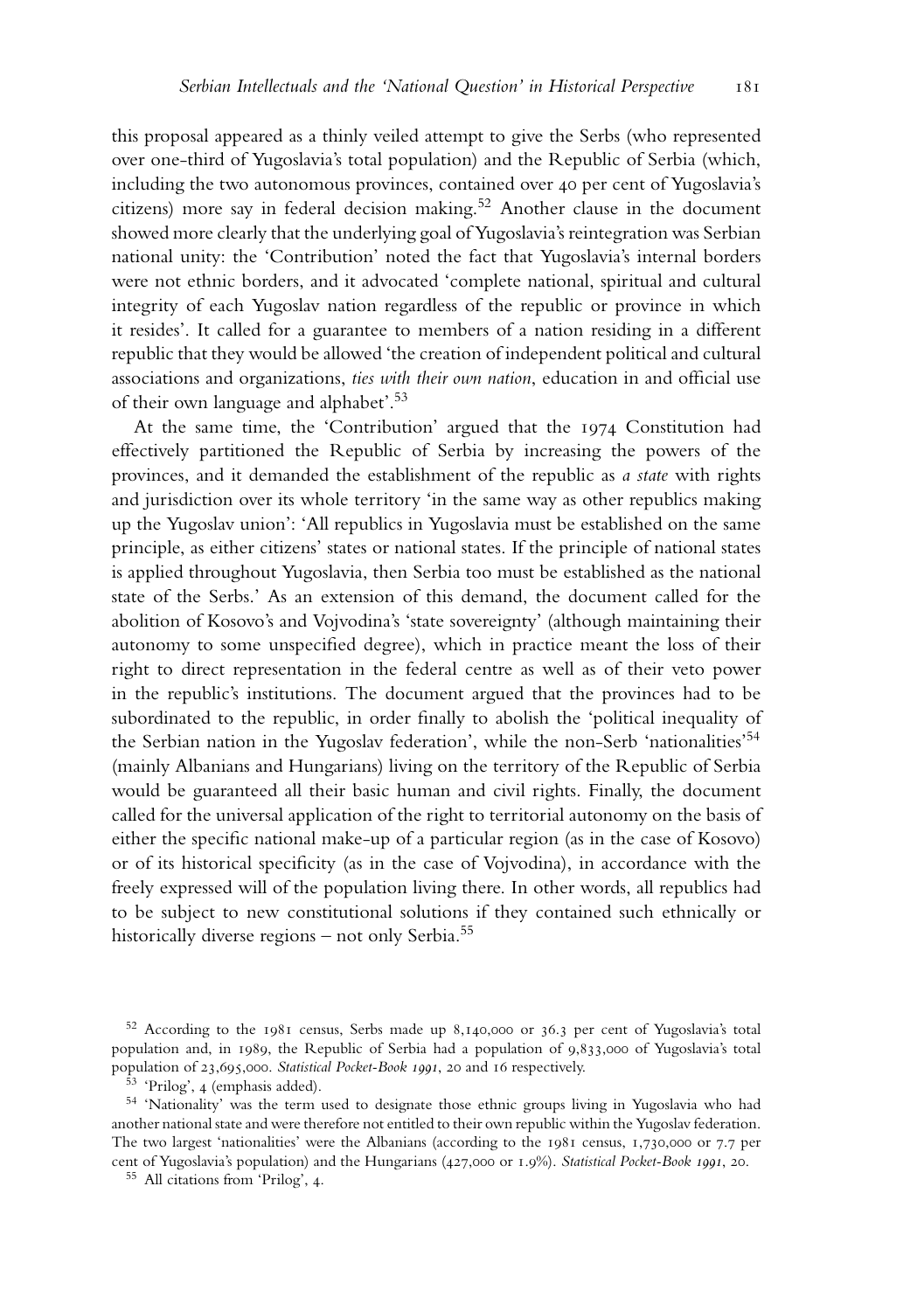this proposal appeared as a thinly veiled attempt to give the Serbs (who represented over one-third of Yugoslavia's total population) and the Republic of Serbia (which, including the two autonomous provinces, contained over 40 per cent of Yugoslavia's citizens) more say in federal decision making.52 Another clause in the document showed more clearly that the underlying goal of Yugoslavia's reintegration was Serbian national unity: the 'Contribution' noted the fact that Yugoslavia's internal borders were not ethnic borders, and it advocated 'complete national, spiritual and cultural integrity of each Yugoslav nation regardless of the republic or province in which it resides'. It called for a guarantee to members of a nation residing in a different republic that they would be allowed 'the creation of independent political and cultural associations and organizations, *ties with their own nation*, education in and official use of their own language and alphabet'.53

At the same time, the 'Contribution' argued that the 1974 Constitution had effectively partitioned the Republic of Serbia by increasing the powers of the provinces, and it demanded the establishment of the republic as *a state* with rights and jurisdiction over its whole territory 'in the same way as other republics making up the Yugoslav union': 'All republics in Yugoslavia must be established on the same principle, as either citizens' states or national states. If the principle of national states is applied throughout Yugoslavia, then Serbia too must be established as the national state of the Serbs.' As an extension of this demand, the document called for the abolition of Kosovo's and Vojvodina's 'state sovereignty' (although maintaining their autonomy to some unspecified degree), which in practice meant the loss of their right to direct representation in the federal centre as well as of their veto power in the republic's institutions. The document argued that the provinces had to be subordinated to the republic, in order finally to abolish the 'political inequality of the Serbian nation in the Yugoslav federation', while the non-Serb 'nationalities'<sup>54</sup> (mainly Albanians and Hungarians) living on the territory of the Republic of Serbia would be guaranteed all their basic human and civil rights. Finally, the document called for the universal application of the right to territorial autonomy on the basis of either the specific national make-up of a particular region (as in the case of Kosovo) or of its historical specificity (as in the case of Vojvodina), in accordance with the freely expressed will of the population living there. In other words, all republics had to be subject to new constitutional solutions if they contained such ethnically or historically diverse regions – not only Serbia.<sup>55</sup>

<sup>52</sup> According to the 1981 census, Serbs made up 8,140,000 or 36.3 per cent of Yugoslavia's total population and, in 1989, the Republic of Serbia had a population of 9,833,000 of Yugoslavia's total population of 23,695,000. *Statistical Pocket-Book 1991*, 20 and 16 respectively.

<sup>53</sup> 'Prilog', 4 (emphasis added).

<sup>54</sup> 'Nationality' was the term used to designate those ethnic groups living in Yugoslavia who had another national state and were therefore not entitled to their own republic within the Yugoslav federation. The two largest 'nationalities' were the Albanians (according to the 1981 census, 1,730,000 or 7.7 per cent of Yugoslavia's population) and the Hungarians (427,000 or 1.9%). *Statistical Pocket-Book 1991*, 20.

<sup>55</sup> All citations from 'Prilog', 4.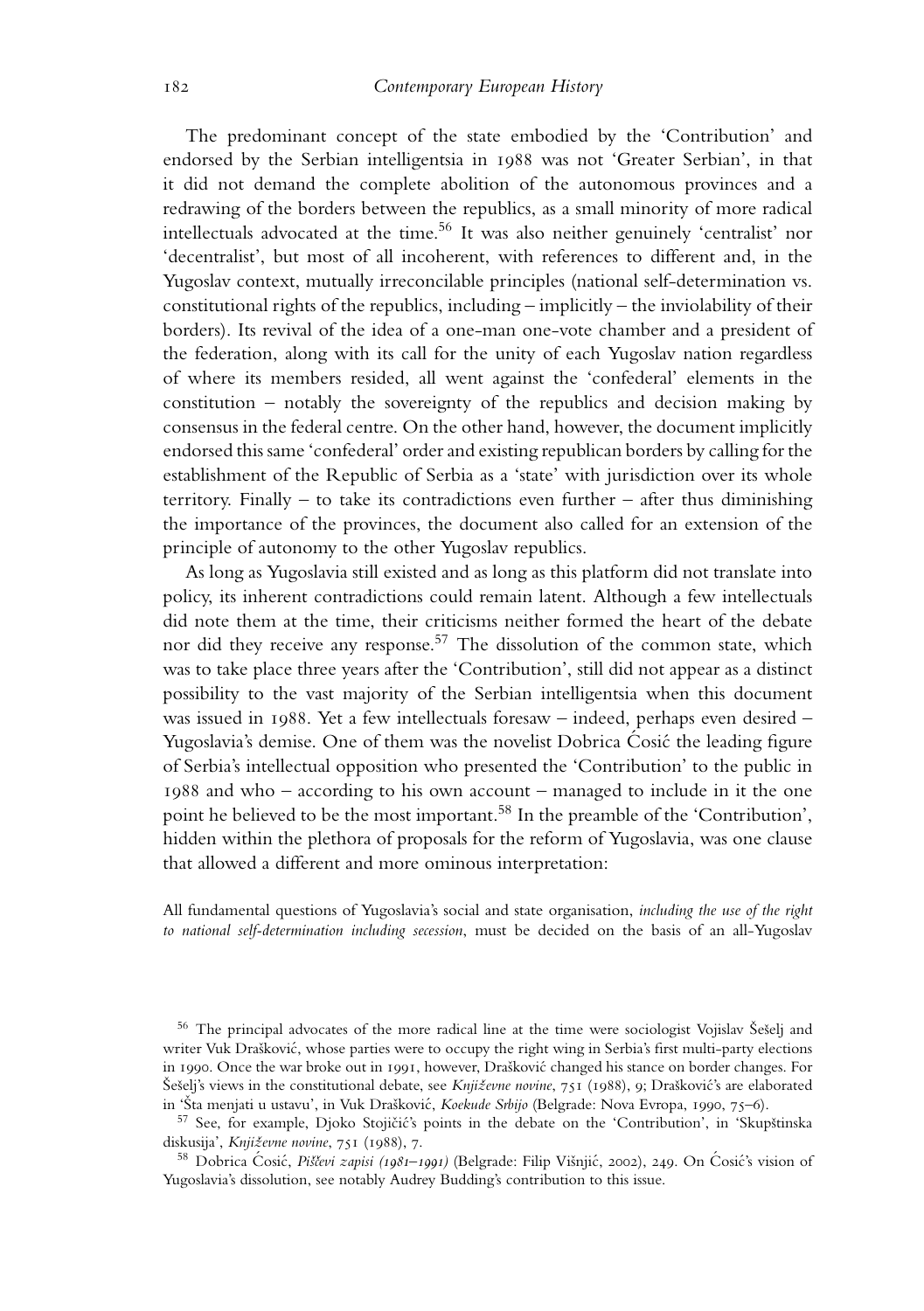The predominant concept of the state embodied by the 'Contribution' and endorsed by the Serbian intelligentsia in 1988 was not 'Greater Serbian', in that it did not demand the complete abolition of the autonomous provinces and a redrawing of the borders between the republics, as a small minority of more radical intellectuals advocated at the time.<sup>56</sup> It was also neither genuinely 'centralist' nor 'decentralist', but most of all incoherent, with references to different and, in the Yugoslav context, mutually irreconcilable principles (national self-determination vs. constitutional rights of the republics, including – implicitly – the inviolability of their borders). Its revival of the idea of a one-man one-vote chamber and a president of the federation, along with its call for the unity of each Yugoslav nation regardless of where its members resided, all went against the 'confederal' elements in the constitution – notably the sovereignty of the republics and decision making by consensus in the federal centre. On the other hand, however, the document implicitly endorsed this same 'confederal' order and existing republican borders by calling for the establishment of the Republic of Serbia as a 'state' with jurisdiction over its whole territory. Finally – to take its contradictions even further – after thus diminishing the importance of the provinces, the document also called for an extension of the principle of autonomy to the other Yugoslav republics.

As long as Yugoslavia still existed and as long as this platform did not translate into policy, its inherent contradictions could remain latent. Although a few intellectuals did note them at the time, their criticisms neither formed the heart of the debate nor did they receive any response.<sup>57</sup> The dissolution of the common state, which was to take place three years after the 'Contribution', still did not appear as a distinct possibility to the vast majority of the Serbian intelligentsia when this document was issued in 1988. Yet a few intellectuals foresaw – indeed, perhaps even desired – Yugoslavia's demise. One of them was the novelist Dobrica Cosić the leading figure of Serbia's intellectual opposition who presented the 'Contribution' to the public in 1988 and who – according to his own account – managed to include in it the one point he believed to be the most important.<sup>58</sup> In the preamble of the 'Contribution', hidden within the plethora of proposals for the reform of Yugoslavia, was one clause that allowed a different and more ominous interpretation:

All fundamental questions of Yugoslavia's social and state organisation, *including the use of the right to national self-determination including secession*, must be decided on the basis of an all-Yugoslav

 $56$  The principal advocates of the more radical line at the time were sociologist Vojislav Šešelj and writer Vuk Drašković, whose parties were to occupy the right wing in Serbia's first multi-party elections in 1990. Once the war broke out in 1991, however, Drašković changed his stance on border changes. For Šešelj's views in the constitutional debate, see *Književne novine*, 751 (1988), 9; Drašković's are elaborated in 'Šta menjati u ustavu', in Vuk Drašković, *Koekude Srbijo* (Belgrade: Nova Evropa, 1990, 75–6).

<sup>57</sup> See, for example, Djoko Stojičić's points in the debate on the 'Contribution', in 'Skupštinska diskusija', *Književne novine*, 751 (1988), 7.

<sup>&</sup>lt;sup>58</sup> Dobrica Cosić, *Piščevi zapisi (1981–1991)* (Belgrade: Filip Višnjić, 2002), 249. On Cosić's vision of Yugoslavia's dissolution, see notably Audrey Budding's contribution to this issue.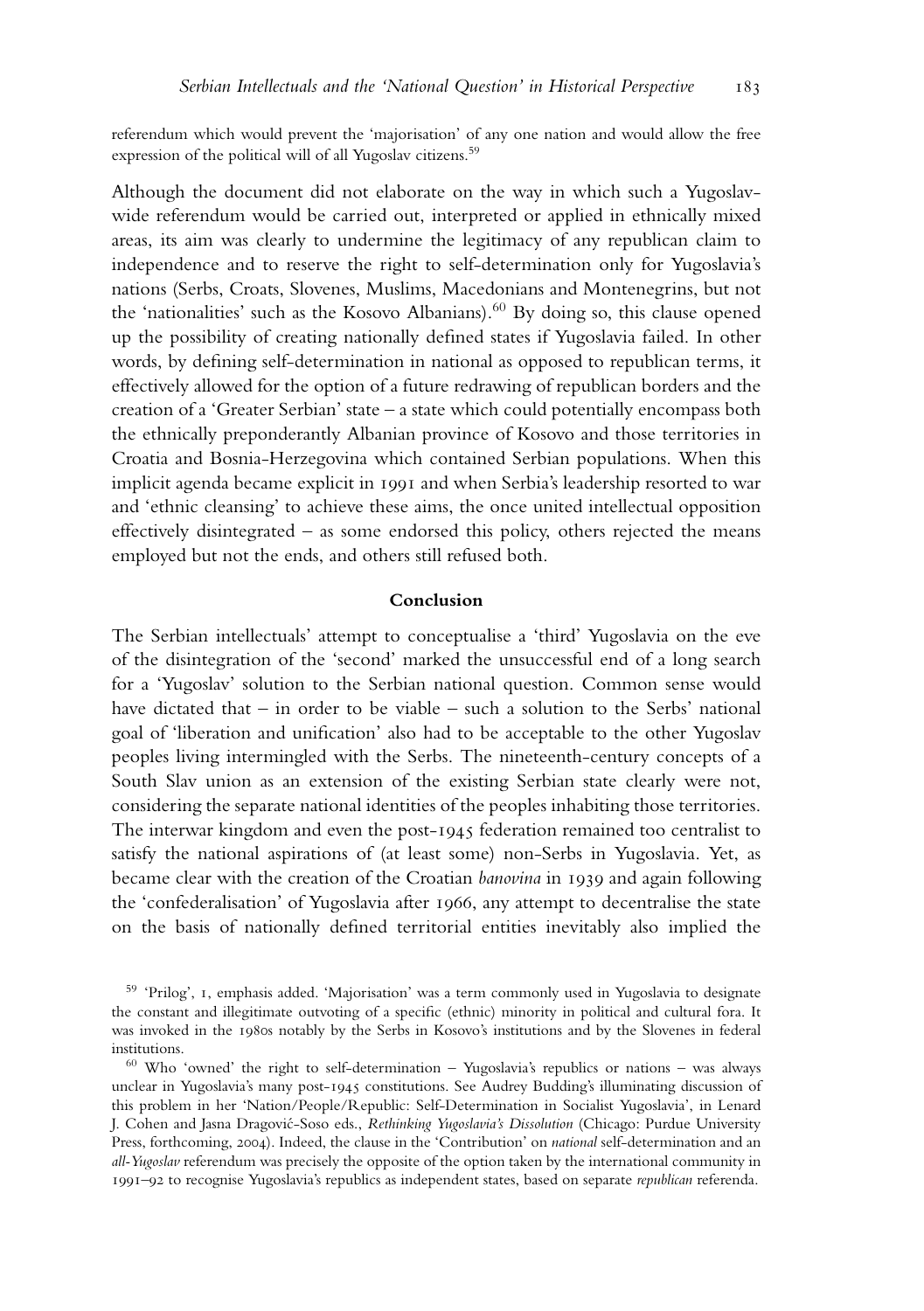referendum which would prevent the 'majorisation' of any one nation and would allow the free expression of the political will of all Yugoslav citizens.<sup>59</sup>

Although the document did not elaborate on the way in which such a Yugoslavwide referendum would be carried out, interpreted or applied in ethnically mixed areas, its aim was clearly to undermine the legitimacy of any republican claim to independence and to reserve the right to self-determination only for Yugoslavia's nations (Serbs, Croats, Slovenes, Muslims, Macedonians and Montenegrins, but not the 'nationalities' such as the Kosovo Albanians). $60$  By doing so, this clause opened up the possibility of creating nationally defined states if Yugoslavia failed. In other words, by defining self-determination in national as opposed to republican terms, it effectively allowed for the option of a future redrawing of republican borders and the creation of a 'Greater Serbian' state – a state which could potentially encompass both the ethnically preponderantly Albanian province of Kosovo and those territories in Croatia and Bosnia-Herzegovina which contained Serbian populations. When this implicit agenda became explicit in 1991 and when Serbia's leadership resorted to war and 'ethnic cleansing' to achieve these aims, the once united intellectual opposition effectively disintegrated – as some endorsed this policy, others rejected the means employed but not the ends, and others still refused both.

#### **Conclusion**

The Serbian intellectuals' attempt to conceptualise a 'third' Yugoslavia on the eve of the disintegration of the 'second' marked the unsuccessful end of a long search for a 'Yugoslav' solution to the Serbian national question. Common sense would have dictated that – in order to be viable – such a solution to the Serbs' national goal of 'liberation and unification' also had to be acceptable to the other Yugoslav peoples living intermingled with the Serbs. The nineteenth-century concepts of a South Slav union as an extension of the existing Serbian state clearly were not, considering the separate national identities of the peoples inhabiting those territories. The interwar kingdom and even the post-1945 federation remained too centralist to satisfy the national aspirations of (at least some) non-Serbs in Yugoslavia. Yet, as became clear with the creation of the Croatian *banovina* in 1939 and again following the 'confederalisation' of Yugoslavia after 1966, any attempt to decentralise the state on the basis of nationally defined territorial entities inevitably also implied the

<sup>59</sup> 'Prilog', 1, emphasis added. 'Majorisation' was a term commonly used in Yugoslavia to designate the constant and illegitimate outvoting of a specific (ethnic) minority in political and cultural fora. It was invoked in the 1980s notably by the Serbs in Kosovo's institutions and by the Slovenes in federal institutions.

 $60$  Who 'owned' the right to self-determination – Yugoslavia's republics or nations – was always unclear in Yugoslavia's many post-1945 constitutions. See Audrey Budding's illuminating discussion of this problem in her 'Nation/People/Republic: Self-Determination in Socialist Yugoslavia', in Lenard J. Cohen and Jasna Dragović-Soso eds., *Rethinking Yugoslavia's Dissolution* (Chicago: Purdue University Press, forthcoming, 2004). Indeed, the clause in the 'Contribution' on *national* self-determination and an *all-Yugoslav* referendum was precisely the opposite of the option taken by the international community in 1991–92 to recognise Yugoslavia's republics as independent states, based on separate *republican* referenda.